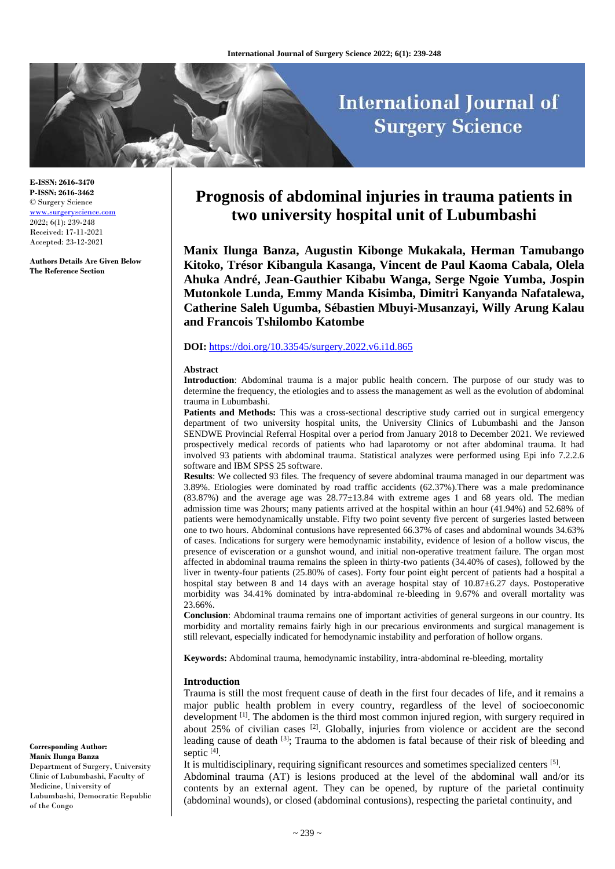# **International Journal of Surgery Science**

**E-ISSN: 2616-3470 P-ISSN: 2616-3462** © Surgery Science [www.surgeryscience.com](http://www.surgeryscience.com/) 2022; 6(1): 239-248 Received: 17-11-2021 Accepted: 23-12-2021

**Authors Details Are Given Below The Reference Section**

## **Prognosis of abdominal injuries in trauma patients in two university hospital unit of Lubumbashi**

**Manix Ilunga Banza, Augustin Kibonge Mukakala, Herman Tamubango Kitoko, Trésor Kibangula Kasanga, Vincent de Paul Kaoma Cabala, Olela Ahuka André, Jean-Gauthier Kibabu Wanga, Serge Ngoie Yumba, Jospin Mutonkole Lunda, Emmy Manda Kisimba, Dimitri Kanyanda Nafatalewa, Catherine Saleh Ugumba, Sébastien Mbuyi-Musanzayi, Willy Arung Kalau and Francois Tshilombo Katombe**

## **DOI:** <https://doi.org/10.33545/surgery.2022.v6.i1d.865>

#### **Abstract**

**Introduction**: Abdominal trauma is a major public health concern. The purpose of our study was to determine the frequency, the etiologies and to assess the management as well as the evolution of abdominal trauma in Lubumbashi.

Patients and Methods: This was a cross-sectional descriptive study carried out in surgical emergency department of two university hospital units, the University Clinics of Lubumbashi and the Janson SENDWE Provincial Referral Hospital over a period from January 2018 to December 2021. We reviewed prospectively medical records of patients who had laparotomy or not after abdominal trauma. It had involved 93 patients with abdominal trauma. Statistical analyzes were performed using Epi info 7.2.2.6 software and IBM SPSS 25 software.

**Results**: We collected 93 files. The frequency of severe abdominal trauma managed in our department was 3.89%. Etiologies were dominated by road traffic accidents (62.37%).There was a male predominance  $(83.87%)$  and the average age was  $28.77\pm13.84$  with extreme ages 1 and 68 years old. The median admission time was 2hours; many patients arrived at the hospital within an hour (41.94%) and 52.68% of patients were hemodynamically unstable. Fifty two point seventy five percent of surgeries lasted between one to two hours. Abdominal contusions have represented 66.37% of cases and abdominal wounds 34.63% of cases. Indications for surgery were hemodynamic instability, evidence of lesion of a hollow viscus, the presence of evisceration or a gunshot wound, and initial non-operative treatment failure. The organ most affected in abdominal trauma remains the spleen in thirty-two patients (34.40% of cases), followed by the liver in twenty-four patients (25.80% of cases). Forty four point eight percent of patients had a hospital a hospital stay between 8 and 14 days with an average hospital stay of 10.87 $\pm$ 6.27 days. Postoperative morbidity was 34.41% dominated by intra-abdominal re-bleeding in 9.67% and overall mortality was 23.66%.

**Conclusion**: Abdominal trauma remains one of important activities of general surgeons in our country. Its morbidity and mortality remains fairly high in our precarious environments and surgical management is still relevant, especially indicated for hemodynamic instability and perforation of hollow organs.

**Keywords:** Abdominal trauma, hemodynamic instability, intra-abdominal re-bleeding, mortality

#### **Introduction**

Trauma is still the most frequent cause of death in the first four decades of life, and it remains a major public health problem in every country, regardless of the level of socioeconomic development <sup>[1]</sup>. The abdomen is the third most common injured region, with surgery required in about 25% of civilian cases  $^{[2]}$ . Globally, injuries from violence or accident are the second leading cause of death <sup>[3]</sup>; Trauma to the abdomen is fatal because of their risk of bleeding and septic [4].

It is multidisciplinary, requiring significant resources and sometimes specialized centers [5]. Abdominal trauma (AT) is lesions produced at the level of the abdominal wall and/or its contents by an external agent. They can be opened, by rupture of the parietal continuity (abdominal wounds), or closed (abdominal contusions), respecting the parietal continuity, and

**Corresponding Author: Manix Ilunga Banza** Department of Surgery, University Clinic of Lubumbashi, Faculty of Medicine, University of Lubumbashi, Democratic Republic of the Congo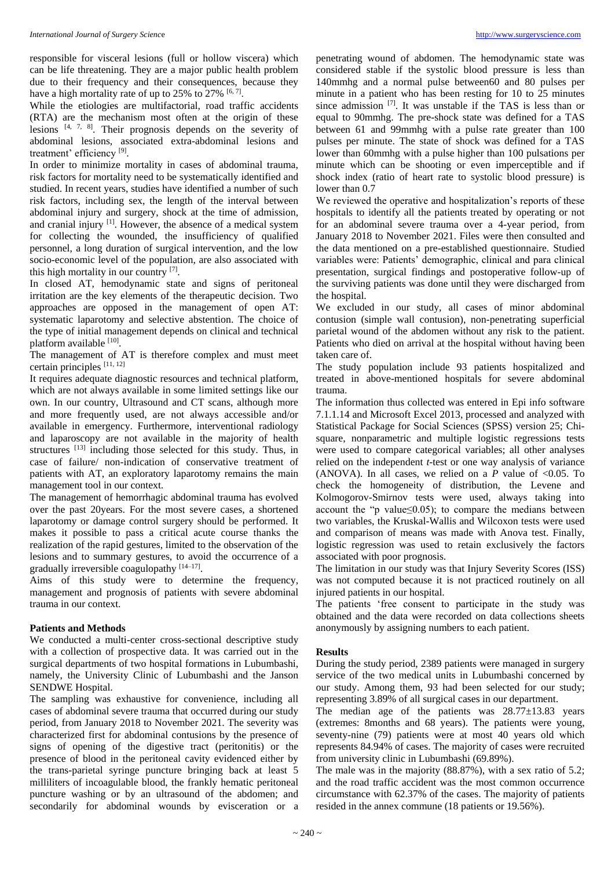responsible for visceral lesions (full or hollow viscera) which can be life threatening. They are a major public health problem due to their frequency and their consequences, because they have a high mortality rate of up to  $25\%$  to  $27\%$  [6,7].

While the etiologies are multifactorial, road traffic accidents (RTA) are the mechanism most often at the origin of these lesions  $[4, 7, 8]$ . Their prognosis depends on the severity of abdominal lesions, associated extra-abdominal lesions and treatment' efficiency<sup>[9]</sup>.

In order to minimize mortality in cases of abdominal trauma, risk factors for mortality need to be systematically identified and studied. In recent years, studies have identified a number of such risk factors, including sex, the length of the interval between abdominal injury and surgery, shock at the time of admission, and cranial injury <sup>[1]</sup>. However, the absence of a medical system for collecting the wounded, the insufficiency of qualified personnel, a long duration of surgical intervention, and the low socio-economic level of the population, are also associated with this high mortality in our country [7].

In closed AT, hemodynamic state and signs of peritoneal irritation are the key elements of the therapeutic decision. Two approaches are opposed in the management of open AT: systematic laparotomy and selective abstention. The choice of the type of initial management depends on clinical and technical platform available [10].

The management of AT is therefore complex and must meet certain principles [11, 12]

It requires adequate diagnostic resources and technical platform, which are not always available in some limited settings like our own. In our country, Ultrasound and CT scans, although more and more frequently used, are not always accessible and/or available in emergency. Furthermore, interventional radiology and laparoscopy are not available in the majority of health structures [13] including those selected for this study. Thus, in case of failure/ non-indication of conservative treatment of patients with AT, an exploratory laparotomy remains the main management tool in our context.

The management of hemorrhagic abdominal trauma has evolved over the past 20years. For the most severe cases, a shortened laparotomy or damage control surgery should be performed. It makes it possible to pass a critical acute course thanks the realization of the rapid gestures, limited to the observation of the lesions and to summary gestures, to avoid the occurrence of a gradually irreversible coagulopathy [14-17].

Aims of this study were to determine the frequency, management and prognosis of patients with severe abdominal trauma in our context.

## **Patients and Methods**

We conducted a multi-center cross-sectional descriptive study with a collection of prospective data. It was carried out in the surgical departments of two hospital formations in Lubumbashi, namely, the University Clinic of Lubumbashi and the Janson SENDWE Hospital.

The sampling was exhaustive for convenience, including all cases of abdominal severe trauma that occurred during our study period, from January 2018 to November 2021. The severity was characterized first for abdominal contusions by the presence of signs of opening of the digestive tract (peritonitis) or the presence of blood in the peritoneal cavity evidenced either by the trans-parietal syringe puncture bringing back at least 5 milliliters of incoagulable blood, the frankly hematic peritoneal puncture washing or by an ultrasound of the abdomen; and secondarily for abdominal wounds by evisceration or a

penetrating wound of abdomen. The hemodynamic state was considered stable if the systolic blood pressure is less than 140mmhg and a normal pulse between60 and 80 pulses per minute in a patient who has been resting for 10 to 25 minutes since admission  $[7]$ . It was unstable if the TAS is less than or equal to 90mmhg. The pre-shock state was defined for a TAS between 61 and 99mmhg with a pulse rate greater than 100 pulses per minute. The state of shock was defined for a TAS lower than 60mmhg with a pulse higher than 100 pulsations per minute which can be shooting or even imperceptible and if shock index (ratio of heart rate to systolic blood pressure) is lower than 0.7

We reviewed the operative and hospitalization's reports of these hospitals to identify all the patients treated by operating or not for an abdominal severe trauma over a 4-year period, from January 2018 to November 2021. Files were then consulted and the data mentioned on a pre-established questionnaire. Studied variables were: Patients' demographic, clinical and para clinical presentation, surgical findings and postoperative follow-up of the surviving patients was done until they were discharged from the hospital.

We excluded in our study, all cases of minor abdominal contusion (simple wall contusion), non-penetrating superficial parietal wound of the abdomen without any risk to the patient. Patients who died on arrival at the hospital without having been taken care of.

The study population include 93 patients hospitalized and treated in above-mentioned hospitals for severe abdominal trauma.

The information thus collected was entered in Epi info software 7.1.1.14 and Microsoft Excel 2013, processed and analyzed with Statistical Package for Social Sciences (SPSS) version 25; Chisquare, nonparametric and multiple logistic regressions tests were used to compare categorical variables; all other analyses relied on the independent *t*-test or one way analysis of variance (ANOVA). In all cases, we relied on a  $P$  value of <0.05. To check the homogeneity of distribution, the Levene and Kolmogorov-Smirnov tests were used, always taking into account the "p value $\leq$ 0.05); to compare the medians between two variables, the Kruskal-Wallis and Wilcoxon tests were used and comparison of means was made with Anova test. Finally, logistic regression was used to retain exclusively the factors associated with poor prognosis.

The limitation in our study was that Injury Severity Scores (ISS) was not computed because it is not practiced routinely on all injured patients in our hospital.

The patients 'free consent to participate in the study was obtained and the data were recorded on data collections sheets anonymously by assigning numbers to each patient.

#### **Results**

During the study period, 2389 patients were managed in surgery service of the two medical units in Lubumbashi concerned by our study. Among them, 93 had been selected for our study; representing 3.89% of all surgical cases in our department.

The median age of the patients was  $28.77\pm13.83$  years (extremes: 8months and 68 years). The patients were young, seventy-nine (79) patients were at most 40 years old which represents 84.94% of cases. The majority of cases were recruited from university clinic in Lubumbashi (69.89%).

The male was in the majority (88.87%), with a sex ratio of 5.2; and the road traffic accident was the most common occurrence circumstance with 62.37% of the cases. The majority of patients resided in the annex commune (18 patients or 19.56%).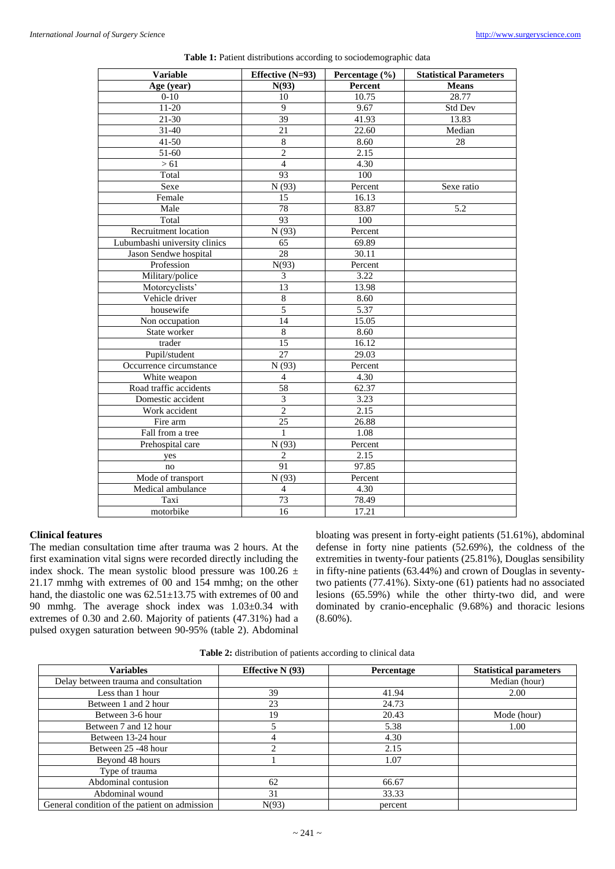| N(93)<br>Percent<br><b>Means</b><br>Age (year)<br>$0 - 10$<br>10.75<br>28.77<br>10<br>$\overline{9}$<br>$11 - 20$<br>9.67<br>Std Dev<br>39<br>$21 - 30$<br>41.93<br>13.83<br>22.60<br>$31 - 40$<br>Median<br>21<br>41-50<br>8.60<br>28<br>8<br>$\overline{2}$<br>51-60<br>2.15<br>$\overline{4}$<br>4.30<br>>61<br>93<br>100<br>Total<br>Sexe ratio<br>Sexe<br>N(93)<br>Percent<br>Female<br>15<br>16.13<br>Male<br>78<br>83.87<br>5.2<br>Total<br>93<br>100<br>N(93)<br>Percent<br>Recruitment location<br>65<br>Lubumbashi university clinics<br>69.89<br>$\overline{28}$<br>30.11<br>Jason Sendwe hospital<br>N(93)<br>Percent<br>Profession<br>3<br>Military/police<br>3.22<br>Motorcyclists'<br>$\overline{13}$<br>13.98<br>Vehicle driver<br>$\,8\,$<br>8.60<br>5<br>housewife<br>5.37<br>14<br>Non occupation<br>15.05<br>$\overline{8}$<br>State worker<br>8.60<br>15<br>16.12<br>trader<br>Pupil/student<br>27<br>29.03 |
|----------------------------------------------------------------------------------------------------------------------------------------------------------------------------------------------------------------------------------------------------------------------------------------------------------------------------------------------------------------------------------------------------------------------------------------------------------------------------------------------------------------------------------------------------------------------------------------------------------------------------------------------------------------------------------------------------------------------------------------------------------------------------------------------------------------------------------------------------------------------------------------------------------------------------------|
|                                                                                                                                                                                                                                                                                                                                                                                                                                                                                                                                                                                                                                                                                                                                                                                                                                                                                                                                  |
|                                                                                                                                                                                                                                                                                                                                                                                                                                                                                                                                                                                                                                                                                                                                                                                                                                                                                                                                  |
|                                                                                                                                                                                                                                                                                                                                                                                                                                                                                                                                                                                                                                                                                                                                                                                                                                                                                                                                  |
|                                                                                                                                                                                                                                                                                                                                                                                                                                                                                                                                                                                                                                                                                                                                                                                                                                                                                                                                  |
|                                                                                                                                                                                                                                                                                                                                                                                                                                                                                                                                                                                                                                                                                                                                                                                                                                                                                                                                  |
|                                                                                                                                                                                                                                                                                                                                                                                                                                                                                                                                                                                                                                                                                                                                                                                                                                                                                                                                  |
|                                                                                                                                                                                                                                                                                                                                                                                                                                                                                                                                                                                                                                                                                                                                                                                                                                                                                                                                  |
|                                                                                                                                                                                                                                                                                                                                                                                                                                                                                                                                                                                                                                                                                                                                                                                                                                                                                                                                  |
|                                                                                                                                                                                                                                                                                                                                                                                                                                                                                                                                                                                                                                                                                                                                                                                                                                                                                                                                  |
|                                                                                                                                                                                                                                                                                                                                                                                                                                                                                                                                                                                                                                                                                                                                                                                                                                                                                                                                  |
|                                                                                                                                                                                                                                                                                                                                                                                                                                                                                                                                                                                                                                                                                                                                                                                                                                                                                                                                  |
|                                                                                                                                                                                                                                                                                                                                                                                                                                                                                                                                                                                                                                                                                                                                                                                                                                                                                                                                  |
|                                                                                                                                                                                                                                                                                                                                                                                                                                                                                                                                                                                                                                                                                                                                                                                                                                                                                                                                  |
|                                                                                                                                                                                                                                                                                                                                                                                                                                                                                                                                                                                                                                                                                                                                                                                                                                                                                                                                  |
|                                                                                                                                                                                                                                                                                                                                                                                                                                                                                                                                                                                                                                                                                                                                                                                                                                                                                                                                  |
|                                                                                                                                                                                                                                                                                                                                                                                                                                                                                                                                                                                                                                                                                                                                                                                                                                                                                                                                  |
|                                                                                                                                                                                                                                                                                                                                                                                                                                                                                                                                                                                                                                                                                                                                                                                                                                                                                                                                  |
|                                                                                                                                                                                                                                                                                                                                                                                                                                                                                                                                                                                                                                                                                                                                                                                                                                                                                                                                  |
|                                                                                                                                                                                                                                                                                                                                                                                                                                                                                                                                                                                                                                                                                                                                                                                                                                                                                                                                  |
|                                                                                                                                                                                                                                                                                                                                                                                                                                                                                                                                                                                                                                                                                                                                                                                                                                                                                                                                  |
|                                                                                                                                                                                                                                                                                                                                                                                                                                                                                                                                                                                                                                                                                                                                                                                                                                                                                                                                  |
|                                                                                                                                                                                                                                                                                                                                                                                                                                                                                                                                                                                                                                                                                                                                                                                                                                                                                                                                  |
|                                                                                                                                                                                                                                                                                                                                                                                                                                                                                                                                                                                                                                                                                                                                                                                                                                                                                                                                  |
|                                                                                                                                                                                                                                                                                                                                                                                                                                                                                                                                                                                                                                                                                                                                                                                                                                                                                                                                  |
|                                                                                                                                                                                                                                                                                                                                                                                                                                                                                                                                                                                                                                                                                                                                                                                                                                                                                                                                  |
| N(93)<br>Occurrence circumstance<br>Percent                                                                                                                                                                                                                                                                                                                                                                                                                                                                                                                                                                                                                                                                                                                                                                                                                                                                                      |
| 4.30<br>White weapon<br>$\overline{4}$                                                                                                                                                                                                                                                                                                                                                                                                                                                                                                                                                                                                                                                                                                                                                                                                                                                                                           |
| 58<br>62.37<br>Road traffic accidents                                                                                                                                                                                                                                                                                                                                                                                                                                                                                                                                                                                                                                                                                                                                                                                                                                                                                            |
| $\overline{3}$<br>Domestic accident<br>3.23                                                                                                                                                                                                                                                                                                                                                                                                                                                                                                                                                                                                                                                                                                                                                                                                                                                                                      |
| $\overline{2}$<br>2.15<br>Work accident                                                                                                                                                                                                                                                                                                                                                                                                                                                                                                                                                                                                                                                                                                                                                                                                                                                                                          |
| $\overline{25}$<br>26.88<br>Fire arm                                                                                                                                                                                                                                                                                                                                                                                                                                                                                                                                                                                                                                                                                                                                                                                                                                                                                             |
| $\mathbf{1}$<br>1.08<br>Fall from a tree                                                                                                                                                                                                                                                                                                                                                                                                                                                                                                                                                                                                                                                                                                                                                                                                                                                                                         |
| Prehospital care<br>Percent<br>N(93)                                                                                                                                                                                                                                                                                                                                                                                                                                                                                                                                                                                                                                                                                                                                                                                                                                                                                             |
| $\overline{2}$<br>2.15<br>yes                                                                                                                                                                                                                                                                                                                                                                                                                                                                                                                                                                                                                                                                                                                                                                                                                                                                                                    |
| 97.85<br>91<br>no                                                                                                                                                                                                                                                                                                                                                                                                                                                                                                                                                                                                                                                                                                                                                                                                                                                                                                                |
| Mode of transport<br>N(93)<br>Percent                                                                                                                                                                                                                                                                                                                                                                                                                                                                                                                                                                                                                                                                                                                                                                                                                                                                                            |
| Medical ambulance<br>$\overline{4}$<br>4.30                                                                                                                                                                                                                                                                                                                                                                                                                                                                                                                                                                                                                                                                                                                                                                                                                                                                                      |
| 73<br>78.49<br>Taxi                                                                                                                                                                                                                                                                                                                                                                                                                                                                                                                                                                                                                                                                                                                                                                                                                                                                                                              |
| 17.21<br>motorbike<br>16                                                                                                                                                                                                                                                                                                                                                                                                                                                                                                                                                                                                                                                                                                                                                                                                                                                                                                         |

**Table 1:** Patient distributions according to sociodemographic data

## **Clinical features**

The median consultation time after trauma was 2 hours. At the first examination vital signs were recorded directly including the index shock. The mean systolic blood pressure was  $100.26 \pm$ 21.17 mmhg with extremes of 00 and 154 mmhg; on the other hand, the diastolic one was  $62.51 \pm 13.75$  with extremes of 00 and 90 mmhg. The average shock index was 1.03±0.34 with extremes of 0.30 and 2.60. Majority of patients (47.31%) had a pulsed oxygen saturation between 90-95% (table 2). Abdominal bloating was present in forty-eight patients (51.61%), abdominal defense in forty nine patients (52.69%), the coldness of the extremities in twenty-four patients (25.81%), Douglas sensibility in fifty-nine patients (63.44%) and crown of Douglas in seventytwo patients (77.41%). Sixty-one (61) patients had no associated lesions (65.59%) while the other thirty-two did, and were dominated by cranio-encephalic (9.68%) and thoracic lesions  $(8.60\%)$ .

**Table 2:** distribution of patients according to clinical data

| <b>Variables</b>                              | Effective $N(93)$ | Percentage | <b>Statistical parameters</b> |
|-----------------------------------------------|-------------------|------------|-------------------------------|
| Delay between trauma and consultation         |                   |            | Median (hour)                 |
| Less than 1 hour                              | 39                | 41.94      | 2.00                          |
| Between 1 and 2 hour                          | 23                | 24.73      |                               |
| Between 3-6 hour                              | 19                | 20.43      | Mode (hour)                   |
| Between 7 and 12 hour                         |                   | 5.38       | 1.00                          |
| Between 13-24 hour                            |                   | 4.30       |                               |
| Between 25 -48 hour                           | ◠                 | 2.15       |                               |
| Beyond 48 hours                               |                   | 1.07       |                               |
| Type of trauma                                |                   |            |                               |
| Abdominal contusion                           | 62                | 66.67      |                               |
| Abdominal wound                               | 31                | 33.33      |                               |
| General condition of the patient on admission | N(93)             | percent    |                               |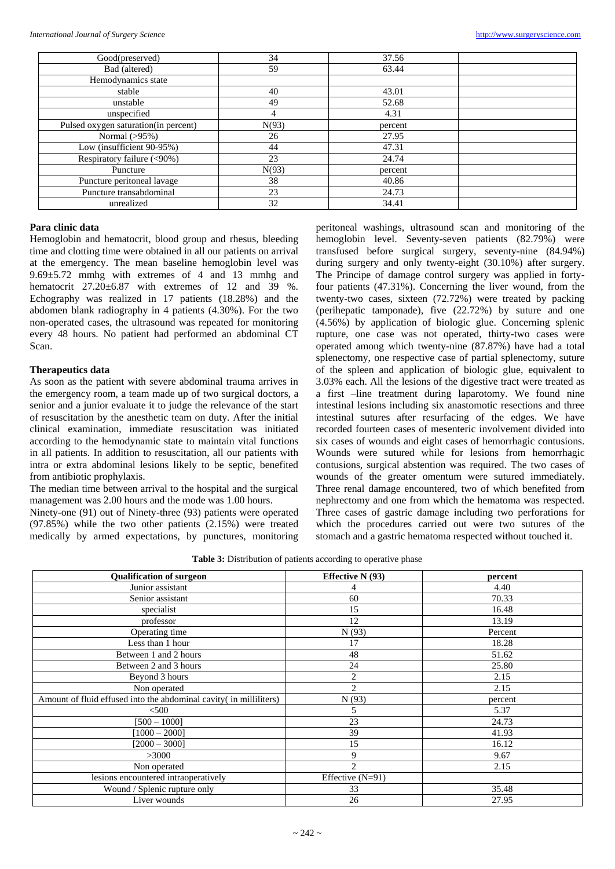| Good(preserved)                      | 34    | 37.56   |  |
|--------------------------------------|-------|---------|--|
| Bad (altered)                        | 59    | 63.44   |  |
| Hemodynamics state                   |       |         |  |
| stable                               | 40    | 43.01   |  |
| unstable                             | 49    | 52.68   |  |
| unspecified                          | 4     | 4.31    |  |
| Pulsed oxygen saturation(in percent) | N(93) | percent |  |
| Normal $(>95%)$                      | 26    | 27.95   |  |
| Low (insufficient 90-95%)            | 44    | 47.31   |  |
| Respiratory failure (<90%)           | 23    | 24.74   |  |
| Puncture                             | N(93) | percent |  |
| Puncture peritoneal lavage           | 38    | 40.86   |  |
| Puncture transabdominal              | 23    | 24.73   |  |
| unrealized                           | 32    | 34.41   |  |

## **Para clinic data**

Hemoglobin and hematocrit, blood group and rhesus, bleeding time and clotting time were obtained in all our patients on arrival at the emergency. The mean baseline hemoglobin level was 9.69±5.72 mmhg with extremes of 4 and 13 mmhg and hematocrit 27.20±6.87 with extremes of 12 and 39 %. Echography was realized in 17 patients (18.28%) and the abdomen blank radiography in 4 patients (4.30%). For the two non-operated cases, the ultrasound was repeated for monitoring every 48 hours. No patient had performed an abdominal CT Scan.

## **Therapeutics data**

As soon as the patient with severe abdominal trauma arrives in the emergency room, a team made up of two surgical doctors, a senior and a junior evaluate it to judge the relevance of the start of resuscitation by the anesthetic team on duty. After the initial clinical examination, immediate resuscitation was initiated according to the hemodynamic state to maintain vital functions in all patients. In addition to resuscitation, all our patients with intra or extra abdominal lesions likely to be septic, benefited from antibiotic prophylaxis.

The median time between arrival to the hospital and the surgical management was 2.00 hours and the mode was 1.00 hours.

Ninety-one (91) out of Ninety-three (93) patients were operated (97.85%) while the two other patients (2.15%) were treated medically by armed expectations, by punctures, monitoring peritoneal washings, ultrasound scan and monitoring of the hemoglobin level. Seventy-seven patients (82.79%) were transfused before surgical surgery, seventy-nine (84.94%) during surgery and only twenty-eight (30.10%) after surgery. The Principe of damage control surgery was applied in fortyfour patients (47.31%). Concerning the liver wound, from the twenty-two cases, sixteen (72.72%) were treated by packing (perihepatic tamponade), five (22.72%) by suture and one (4.56%) by application of biologic glue. Concerning splenic rupture, one case was not operated, thirty-two cases were operated among which twenty-nine (87.87%) have had a total splenectomy, one respective case of partial splenectomy, suture of the spleen and application of biologic glue, equivalent to 3.03% each. All the lesions of the digestive tract were treated as a first –line treatment during laparotomy. We found nine intestinal lesions including six anastomotic resections and three intestinal sutures after resurfacing of the edges. We have recorded fourteen cases of mesenteric involvement divided into six cases of wounds and eight cases of hemorrhagic contusions. Wounds were sutured while for lesions from hemorrhagic contusions, surgical abstention was required. The two cases of wounds of the greater omentum were sutured immediately. Three renal damage encountered, two of which benefited from nephrectomy and one from which the hematoma was respected. Three cases of gastric damage including two perforations for which the procedures carried out were two sutures of the stomach and a gastric hematoma respected without touched it.

**Table 3:** Distribution of patients according to operative phase

| <b>Qualification of surgeon</b>                                    | <b>Effective N</b> (93) | percent |
|--------------------------------------------------------------------|-------------------------|---------|
| Junior assistant                                                   |                         | 4.40    |
| Senior assistant                                                   | 60                      | 70.33   |
| specialist                                                         | 15                      | 16.48   |
| professor                                                          | 12                      | 13.19   |
| Operating time                                                     | N(93)                   | Percent |
| Less than 1 hour                                                   | 17                      | 18.28   |
| Between 1 and 2 hours                                              | 48                      | 51.62   |
| Between 2 and 3 hours                                              | 24                      | 25.80   |
| Beyond 3 hours                                                     | $\overline{2}$          | 2.15    |
| Non operated                                                       | $\overline{2}$          | 2.15    |
| Amount of fluid effused into the abdominal cavity (in milliliters) | N(93)                   | percent |
| $500$                                                              | 5                       | 5.37    |
| $[500 - 1000]$                                                     | 23                      | 24.73   |
| $[1000 - 2000]$                                                    | 39                      | 41.93   |
| $[2000 - 3000]$                                                    | 15                      | 16.12   |
| >3000                                                              | 9                       | 9.67    |
| Non operated                                                       | $\overline{c}$          | 2.15    |
| lesions encountered intraoperatively                               | Effective $(N=91)$      |         |
| Wound / Splenic rupture only                                       | 33                      | 35.48   |
| Liver wounds                                                       | 26                      | 27.95   |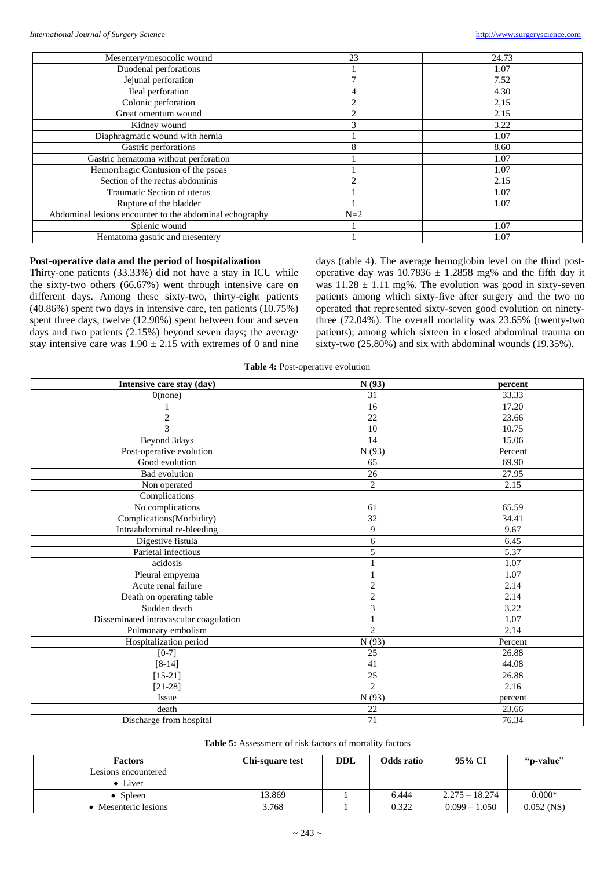|                                                         | 23             |       |
|---------------------------------------------------------|----------------|-------|
| Mesentery/mesocolic wound                               |                | 24.73 |
| Duodenal perforations                                   |                | 1.07  |
| Jejunal perforation                                     |                | 7.52  |
| Ileal perforation                                       |                | 4.30  |
| Colonic perforation                                     | $\mathfrak{D}$ | 2,15  |
| Great omentum wound                                     | 2              | 2.15  |
| Kidney wound                                            | 3              | 3.22  |
| Diaphragmatic wound with hernia                         |                | 1.07  |
| Gastric perforations                                    | 8              | 8.60  |
| Gastric hematoma without perforation                    |                | 1.07  |
| Hemorrhagic Contusion of the psoas                      |                | 1.07  |
| Section of the rectus abdominis                         | ↑              | 2.15  |
| Traumatic Section of uterus                             |                | 1.07  |
| Rupture of the bladder                                  |                | 1.07  |
| Abdominal lesions encounter to the abdominal echography | $N=2$          |       |
| Splenic wound                                           |                | 1.07  |
| Hematoma gastric and mesentery                          |                | 1.07  |

## **Post-operative data and the period of hospitalization**

Thirty-one patients (33.33%) did not have a stay in ICU while the sixty-two others (66.67%) went through intensive care on different days. Among these sixty-two, thirty-eight patients (40.86%) spent two days in intensive care, ten patients (10.75%) spent three days, twelve (12.90%) spent between four and seven days and two patients (2.15%) beyond seven days; the average stay intensive care was  $1.90 \pm 2.15$  with extremes of 0 and nine

days (table 4). The average hemoglobin level on the third postoperative day was  $10.7836 \pm 1.2858$  mg% and the fifth day it was  $11.28 \pm 1.11$  mg%. The evolution was good in sixty-seven patients among which sixty-five after surgery and the two no operated that represented sixty-seven good evolution on ninetythree (72.04%). The overall mortality was 23.65% (twenty-two patients); among which sixteen in closed abdominal trauma on sixty-two (25.80%) and six with abdominal wounds (19.35%).

**Table 4:** Post-operative evolution

| Intensive care stay (day)              | N(93)           | percent            |
|----------------------------------------|-----------------|--------------------|
| $0$ (none)                             | 31              | 33.33              |
|                                        | 16              | 17.20              |
| $\overline{c}$                         | 22              | $\overline{23.66}$ |
| $\overline{\mathcal{E}}$               | 10              | 10.75              |
| Beyond 3days                           | 14              | 15.06              |
| Post-operative evolution               | N(93)           | Percent            |
| Good evolution                         | $\overline{65}$ | 69.90              |
| <b>Bad</b> evolution                   | 26              | 27.95              |
| Non operated                           | $\sqrt{2}$      | 2.15               |
| Complications                          |                 |                    |
| No complications                       | 61              | 65.59              |
| Complications(Morbidity)               | 32              | 34.41              |
| Intraabdominal re-bleeding             | 9               | 9.67               |
| Digestive fistula                      | 6               | 6.45               |
| Parietal infectious                    | 5               | 5.37               |
| acidosis                               | 1               | 1.07               |
| Pleural empyema                        |                 | 1.07               |
| Acute renal failure                    | $\sqrt{2}$      | 2.14               |
| Death on operating table               | $\overline{2}$  | 2.14               |
| Sudden death                           | $\overline{3}$  | 3.22               |
| Disseminated intravascular coagulation | $\mathbf{1}$    | 1.07               |
| Pulmonary embolism                     | $\overline{c}$  | 2.14               |
| Hospitalization period                 | N(93)           | Percent            |
| $[0-7]$                                | 25              | 26.88              |
| $[8-14]$                               | 41              | 44.08              |
| $[15-21]$                              | 25              | 26.88              |
| $[21-28]$                              | $\overline{2}$  | 2.16               |
| Issue                                  | N(93)           | percent            |
| death                                  | 22              | 23.66              |
| Discharge from hospital                | 71              | 76.34              |

| <b>Table 5:</b> Assessment of risk factors of mortality factors |  |
|-----------------------------------------------------------------|--|
|-----------------------------------------------------------------|--|

| <b>Factors</b>       | Chi-square test | <b>DDL</b> | Odds ratio | 95% CI           | "p-value"    |
|----------------------|-----------------|------------|------------|------------------|--------------|
| Lesions encountered  |                 |            |            |                  |              |
| $\bullet$ Liver      |                 |            |            |                  |              |
| $\bullet$ Spleen     | 13.869          |            | 6.444      | $2.275 - 18.274$ | $0.000*$     |
| • Mesenteric lesions | 3.768           |            | 0.322      | $0.099 - 1.050$  | $0.052$ (NS) |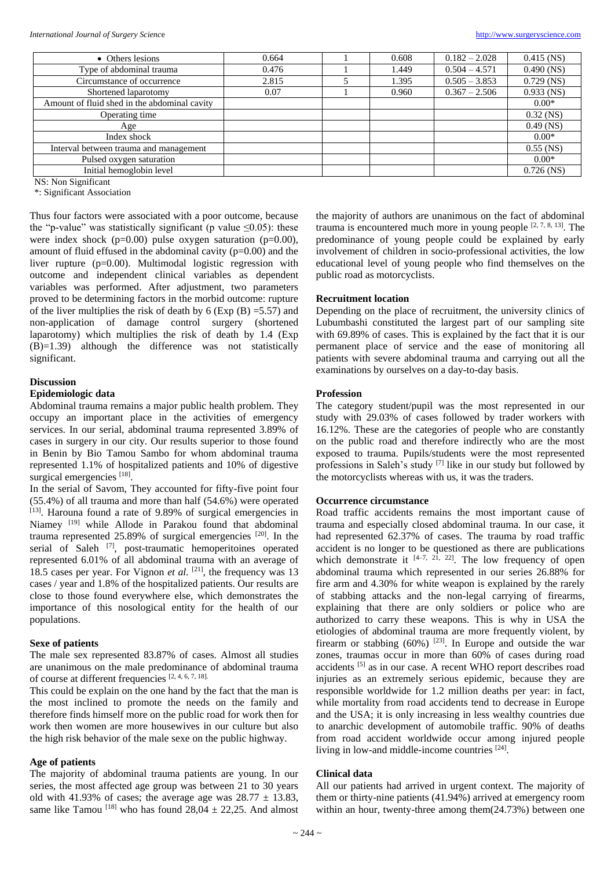| • Others lesions                             | 0.664 | 0.608 | $0.182 - 2.028$ | $0.415$ (NS) |
|----------------------------------------------|-------|-------|-----------------|--------------|
| Type of abdominal trauma                     | 0.476 | 1.449 | $0.504 - 4.571$ | $0.490$ (NS) |
| Circumstance of occurrence                   | 2.815 | 1.395 | $0.505 - 3.853$ | $0.729$ (NS) |
| Shortened laparotomy                         | 0.07  | 0.960 | $0.367 - 2.506$ | $0.933$ (NS) |
| Amount of fluid shed in the abdominal cavity |       |       |                 | $0.00*$      |
| Operating time                               |       |       |                 | $0.32$ (NS)  |
| Age                                          |       |       |                 | $0.49$ (NS)  |
| Index shock                                  |       |       |                 | $0.00*$      |
| Interval between trauma and management       |       |       |                 | $0.55$ (NS)  |
| Pulsed oxygen saturation                     |       |       |                 | $0.00*$      |
| Initial hemoglobin level                     |       |       |                 | $0.726$ (NS) |

NS: Non Significant

\*: Significant Association

Thus four factors were associated with a poor outcome, because the "p-value" was statistically significant (p value  $\leq 0.05$ ): these were index shock  $(p=0.00)$  pulse oxygen saturation  $(p=0.00)$ , amount of fluid effused in the abdominal cavity (p=0.00) and the liver rupture (p=0.00). Multimodal logistic regression with outcome and independent clinical variables as dependent variables was performed. After adjustment, two parameters proved to be determining factors in the morbid outcome: rupture of the liver multiplies the risk of death by  $6$  (Exp (B) = 5.57) and non-application of damage control surgery (shortened laparotomy) which multiplies the risk of death by 1.4 (Exp  $(B)=1.39$ ) although the difference was not statistically significant.

#### **Discussion**

## **Epidemiologic data**

Abdominal trauma remains a major public health problem. They occupy an important place in the activities of emergency services. In our serial, abdominal trauma represented 3.89% of cases in surgery in our city. Our results superior to those found in Benin by Bio Tamou Sambo for whom abdominal trauma represented 1.1% of hospitalized patients and 10% of digestive surgical emergencies [18].

In the serial of Savom, They accounted for fifty-five point four (55.4%) of all trauma and more than half (54.6%) were operated [13]. Harouna found a rate of 9.89% of surgical emergencies in Niamey <sup>[19]</sup> while Allode in Parakou found that abdominal trauma represented  $25.89\%$  of surgical emergencies  $[20]$ . In the serial of Saleh <a>[7]</a>, post-traumatic hemoperitoines operated represented 6.01% of all abdominal trauma with an average of 18.5 cases per year. For Vignon *et al.* <sup>[21]</sup>, the frequency was 13 cases / year and 1.8% of the hospitalized patients. Our results are close to those found everywhere else, which demonstrates the importance of this nosological entity for the health of our populations.

## **Sexe of patients**

The male sex represented 83.87% of cases. Almost all studies are unanimous on the male predominance of abdominal trauma of course at different frequencies [2, 4, 6, 7, 18].

This could be explain on the one hand by the fact that the man is the most inclined to promote the needs on the family and therefore finds himself more on the public road for work then for work then women are more housewives in our culture but also the high risk behavior of the male sexe on the public highway.

## **Age of patients**

The majority of abdominal trauma patients are young. In our series, the most affected age group was between 21 to 30 years old with 41.93% of cases; the average age was  $28.77 \pm 13.83$ , same like Tamou  $^{[18]}$  who has found  $28.04 \pm 22.25$ . And almost the majority of authors are unanimous on the fact of abdominal trauma is encountered much more in young people  $[2, 7, 8, 13]$ . The predominance of young people could be explained by early involvement of children in socio-professional activities, the low educational level of young people who find themselves on the public road as motorcyclists.

## **Recruitment location**

Depending on the place of recruitment, the university clinics of Lubumbashi constituted the largest part of our sampling site with 69.89% of cases. This is explained by the fact that it is our permanent place of service and the ease of monitoring all patients with severe abdominal trauma and carrying out all the examinations by ourselves on a day-to-day basis.

## **Profession**

The category student/pupil was the most represented in our study with 29.03% of cases followed by trader workers with 16.12%. These are the categories of people who are constantly on the public road and therefore indirectly who are the most exposed to trauma. Pupils/students were the most represented professions in Saleh's study [7] like in our study but followed by the motorcyclists whereas with us, it was the traders.

## **Occurrence circumstance**

Road traffic accidents remains the most important cause of trauma and especially closed abdominal trauma. In our case, it had represented 62.37% of cases. The trauma by road traffic accident is no longer to be questioned as there are publications which demonstrate it  $[4-7, 21, 22]$ . The low frequency of open abdominal trauma which represented in our series 26.88% for fire arm and 4.30% for white weapon is explained by the rarely of stabbing attacks and the non-legal carrying of firearms, explaining that there are only soldiers or police who are authorized to carry these weapons. This is why in USA the etiologies of abdominal trauma are more frequently violent, by firearm or stabbing  $(60\%)$  <sup>[23]</sup>. In Europe and outside the war zones, traumas occur in more than 60% of cases during road accidents [5] as in our case. A recent WHO report describes road injuries as an extremely serious epidemic, because they are responsible worldwide for 1.2 million deaths per year: in fact, while mortality from road accidents tend to decrease in Europe and the USA; it is only increasing in less wealthy countries due to anarchic development of automobile traffic. 90% of deaths from road accident worldwide occur among injured people living in low-and middle-income countries [24].

## **Clinical data**

All our patients had arrived in urgent context. The majority of them or thirty-nine patients (41.94%) arrived at emergency room within an hour, twenty-three among them(24.73%) between one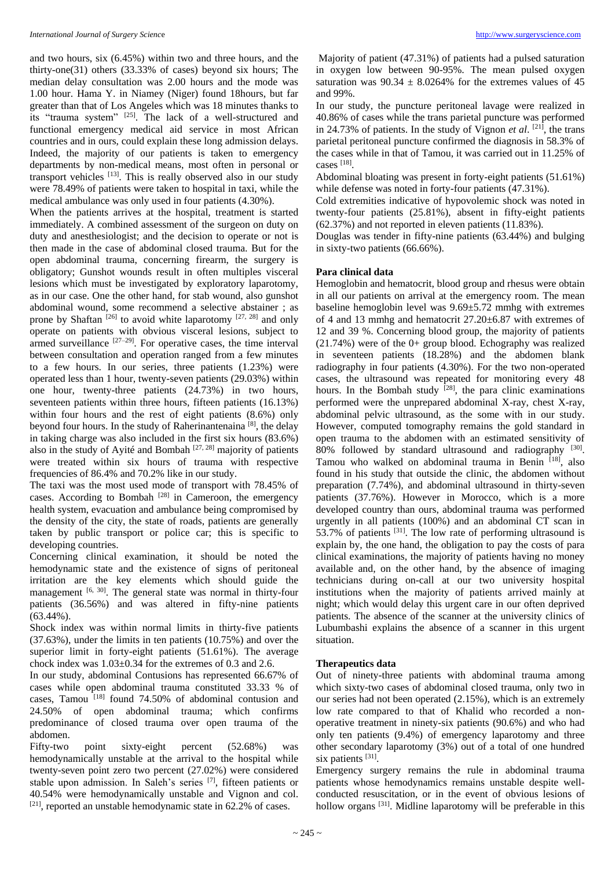and two hours, six (6.45%) within two and three hours, and the thirty-one(31) others (33.33% of cases) beyond six hours; The median delay consultation was 2.00 hours and the mode was 1.00 hour. Hama Y. in Niamey (Niger) found 18hours, but far greater than that of Los Angeles which was 18 minutes thanks to its "trauma system" [25]. The lack of a well-structured and functional emergency medical aid service in most African countries and in ours, could explain these long admission delays. Indeed, the majority of our patients is taken to emergency departments by non-medical means, most often in personal or transport vehicles  $[13]$ . This is really observed also in our study were 78.49% of patients were taken to hospital in taxi, while the medical ambulance was only used in four patients (4.30%).

When the patients arrives at the hospital, treatment is started immediately. A combined assessment of the surgeon on duty on duty and anesthesiologist; and the decision to operate or not is then made in the case of abdominal closed trauma. But for the open abdominal trauma, concerning firearm, the surgery is obligatory; Gunshot wounds result in often multiples visceral lesions which must be investigated by exploratory laparotomy, as in our case. One the other hand, for stab wound, also gunshot abdominal wound, some recommend a selective abstainer ; as prone by Shaftan<sup>[26]</sup> to avoid white laparotomy  $[27, 28]$  and only operate on patients with obvious visceral lesions, subject to armed surveillance  $[27-29]$ . For operative cases, the time interval between consultation and operation ranged from a few minutes to a few hours. In our series, three patients (1.23%) were operated less than 1 hour, twenty-seven patients (29.03%) within one hour, twenty-three patients (24.73%) in two hours, seventeen patients within three hours, fifteen patients (16.13%) within four hours and the rest of eight patients (8.6%) only beyond four hours. In the study of Raherinantenaina<sup>[8]</sup>, the delay in taking charge was also included in the first six hours (83.6%) also in the study of Ayité and Bombah  $[27, 28]$  majority of patients were treated within six hours of trauma with respective frequencies of 86.4% and 70.2% like in our study.

The taxi was the most used mode of transport with 78.45% of cases. According to Bombah<sup>[28]</sup> in Cameroon, the emergency health system, evacuation and ambulance being compromised by the density of the city, the state of roads, patients are generally taken by public transport or police car; this is specific to developing countries.

Concerning clinical examination, it should be noted the hemodynamic state and the existence of signs of peritoneal irritation are the key elements which should guide the management  $[6, 30]$ . The general state was normal in thirty-four patients (36.56%) and was altered in fifty-nine patients (63.44%).

Shock index was within normal limits in thirty-five patients (37.63%), under the limits in ten patients (10.75%) and over the superior limit in forty-eight patients (51.61%). The average chock index was 1.03±0.34 for the extremes of 0.3 and 2.6.

In our study, abdominal Contusions has represented 66.67% of cases while open abdominal trauma constituted 33.33 % of cases, Tamou<sup>[18]</sup> found 74.50% of abdominal contusion and 24.50% of open abdominal trauma; which confirms predominance of closed trauma over open trauma of the abdomen.

Fifty-two point sixty-eight percent (52.68%) was hemodynamically unstable at the arrival to the hospital while twenty-seven point zero two percent (27.02%) were considered stable upon admission. In Saleh's series [7], fifteen patients or 40.54% were hemodynamically unstable and Vignon and col.  $[21]$ , reported an unstable hemodynamic state in 62.2% of cases.

Majority of patient (47.31%) of patients had a pulsed saturation in oxygen low between 90-95%. The mean pulsed oxygen saturation was  $90.34 \pm 8.0264\%$  for the extremes values of 45 and 99%.

In our study, the puncture peritoneal lavage were realized in 40.86% of cases while the trans parietal puncture was performed in 24.73% of patients. In the study of Vignon *et al.* [21], the trans parietal peritoneal puncture confirmed the diagnosis in 58.3% of the cases while in that of Tamou, it was carried out in 11.25% of cases [18] .

Abdominal bloating was present in forty-eight patients (51.61%) while defense was noted in forty-four patients  $(47.31\%)$ .

Cold extremities indicative of hypovolemic shock was noted in twenty-four patients (25.81%), absent in fifty-eight patients (62.37%) and not reported in eleven patients (11.83%).

Douglas was tender in fifty-nine patients (63.44%) and bulging in sixty-two patients (66.66%).

## **Para clinical data**

Hemoglobin and hematocrit, blood group and rhesus were obtain in all our patients on arrival at the emergency room. The mean baseline hemoglobin level was 9.69±5.72 mmhg with extremes of 4 and 13 mmhg and hematocrit 27.20±6.87 with extremes of 12 and 39 %. Concerning blood group, the majority of patients (21.74%) were of the 0+ group blood. Echography was realized in seventeen patients (18.28%) and the abdomen blank radiography in four patients (4.30%). For the two non-operated cases, the ultrasound was repeated for monitoring every 48 hours. In the Bombah study  $[28]$ , the para clinic examinations performed were the unprepared abdominal X-ray, chest X-ray, abdominal pelvic ultrasound, as the some with in our study. However, computed tomography remains the gold standard in open trauma to the abdomen with an estimated sensitivity of 80% followed by standard ultrasound and radiography [30]. Tamou who walked on abdominal trauma in Benin [18], also found in his study that outside the clinic, the abdomen without preparation (7.74%), and abdominal ultrasound in thirty-seven patients (37.76%). However in Morocco, which is a more developed country than ours, abdominal trauma was performed urgently in all patients (100%) and an abdominal CT scan in 53.7% of patients  $[31]$ . The low rate of performing ultrasound is explain by, the one hand, the obligation to pay the costs of para clinical examinations, the majority of patients having no money available and, on the other hand, by the absence of imaging technicians during on-call at our two university hospital institutions when the majority of patients arrived mainly at night; which would delay this urgent care in our often deprived patients. The absence of the scanner at the university clinics of Lubumbashi explains the absence of a scanner in this urgent situation.

## **Therapeutics data**

Out of ninety-three patients with abdominal trauma among which sixty-two cases of abdominal closed trauma, only two in our series had not been operated (2.15%), which is an extremely low rate compared to that of Khalid who recorded a nonoperative treatment in ninety-six patients (90.6%) and who had only ten patients (9.4%) of emergency laparotomy and three other secondary laparotomy (3%) out of a total of one hundred six patients [31].

Emergency surgery remains the rule in abdominal trauma patients whose hemodynamics remains unstable despite wellconducted resuscitation, or in the event of obvious lesions of hollow organs<sup>[31]</sup>. Midline laparotomy will be preferable in this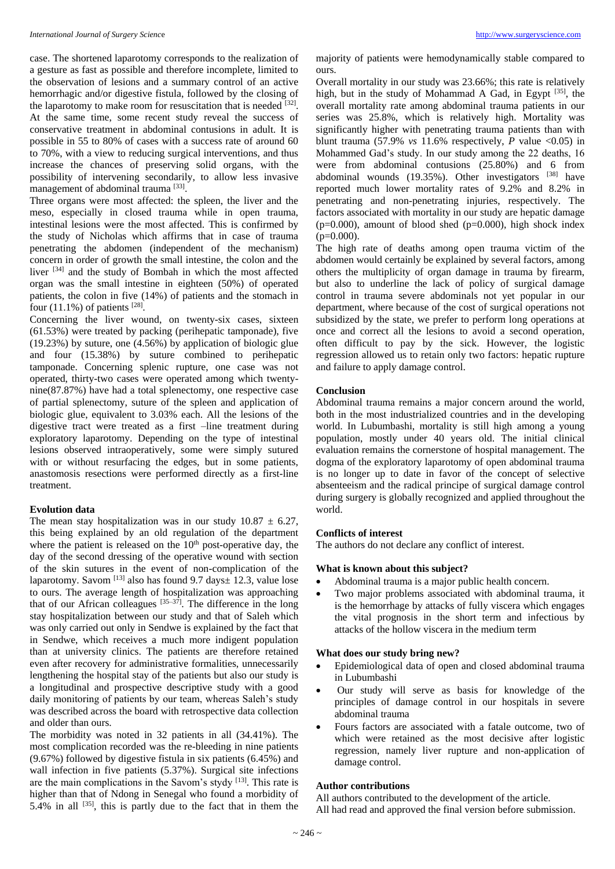case. The shortened laparotomy corresponds to the realization of a gesture as fast as possible and therefore incomplete, limited to the observation of lesions and a summary control of an active hemorrhagic and/or digestive fistula, followed by the closing of the laparotomy to make room for resuscitation that is needed  $[32]$ . At the same time, some recent study reveal the success of conservative treatment in abdominal contusions in adult. It is possible in 55 to 80% of cases with a success rate of around 60 to 70%, with a view to reducing surgical interventions, and thus increase the chances of preserving solid organs, with the possibility of intervening secondarily, to allow less invasive management of abdominal trauma<sup>[33]</sup>.

Three organs were most affected: the spleen, the liver and the meso, especially in closed trauma while in open trauma, intestinal lesions were the most affected. This is confirmed by the study of Nicholas which affirms that in case of trauma penetrating the abdomen (independent of the mechanism) concern in order of growth the small intestine, the colon and the liver [34] and the study of Bombah in which the most affected organ was the small intestine in eighteen (50%) of operated patients, the colon in five (14%) of patients and the stomach in four  $(11.1\%)$  of patients  $^{[28]}$ .

Concerning the liver wound, on twenty-six cases, sixteen (61.53%) were treated by packing (perihepatic tamponade), five (19.23%) by suture, one (4.56%) by application of biologic glue and four (15.38%) by suture combined to perihepatic tamponade. Concerning splenic rupture, one case was not operated, thirty-two cases were operated among which twentynine(87.87%) have had a total splenectomy, one respective case of partial splenectomy, suture of the spleen and application of biologic glue, equivalent to 3.03% each. All the lesions of the digestive tract were treated as a first –line treatment during exploratory laparotomy. Depending on the type of intestinal lesions observed intraoperatively, some were simply sutured with or without resurfacing the edges, but in some patients, anastomosis resections were performed directly as a first-line treatment.

## **Evolution data**

The mean stay hospitalization was in our study  $10.87 \pm 6.27$ , this being explained by an old regulation of the department where the patient is released on the  $10<sup>th</sup>$  post-operative day, the day of the second dressing of the operative wound with section of the skin sutures in the event of non-complication of the laparotomy. Savom  $^{[13]}$  also has found 9.7 days $\pm$  12.3, value lose to ours. The average length of hospitalization was approaching that of our African colleagues  $[35-37]$ . The difference in the long stay hospitalization between our study and that of Saleh which was only carried out only in Sendwe is explained by the fact that in Sendwe, which receives a much more indigent population than at university clinics. The patients are therefore retained even after recovery for administrative formalities, unnecessarily lengthening the hospital stay of the patients but also our study is a longitudinal and prospective descriptive study with a good daily monitoring of patients by our team, whereas Saleh's study was described across the board with retrospective data collection and older than ours.

The morbidity was noted in 32 patients in all (34.41%). The most complication recorded was the re-bleeding in nine patients (9.67%) followed by digestive fistula in six patients (6.45%) and wall infection in five patients (5.37%). Surgical site infections are the main complications in the Savom's stydy [13]. This rate is higher than that of Ndong in Senegal who found a morbidity of 5.4% in all  $[35]$ , this is partly due to the fact that in them the

majority of patients were hemodynamically stable compared to ours.

Overall mortality in our study was 23.66%; this rate is relatively high, but in the study of Mohammad A Gad, in Egypt [35], the overall mortality rate among abdominal trauma patients in our series was 25.8%, which is relatively high. Mortality was significantly higher with penetrating trauma patients than with blunt trauma  $(57.9\% \text{ vs } 11.6\% \text{ respectively}, P \text{ value } <0.05)$  in Mohammed Gad's study. In our study among the 22 deaths, 16 were from abdominal contusions (25.80%) and 6 from abdominal wounds  $(19.35\%)$ . Other investigators  $[38]$  have reported much lower mortality rates of 9.2% and 8.2% in penetrating and non-penetrating injuries, respectively. The factors associated with mortality in our study are hepatic damage ( $p=0.000$ ), amount of blood shed ( $p=0.000$ ), high shock index  $(p=0.000)$ .

The high rate of deaths among open trauma victim of the abdomen would certainly be explained by several factors, among others the multiplicity of organ damage in trauma by firearm, but also to underline the lack of policy of surgical damage control in trauma severe abdominals not yet popular in our department, where because of the cost of surgical operations not subsidized by the state, we prefer to perform long operations at once and correct all the lesions to avoid a second operation, often difficult to pay by the sick. However, the logistic regression allowed us to retain only two factors: hepatic rupture and failure to apply damage control.

## **Conclusion**

Abdominal trauma remains a major concern around the world, both in the most industrialized countries and in the developing world. In Lubumbashi, mortality is still high among a young population, mostly under 40 years old. The initial clinical evaluation remains the cornerstone of hospital management. The dogma of the exploratory laparotomy of open abdominal trauma is no longer up to date in favor of the concept of selective absenteeism and the radical principe of surgical damage control during surgery is globally recognized and applied throughout the world.

## **Conflicts of interest**

The authors do not declare any conflict of interest.

#### **What is known about this subject?**

- Abdominal trauma is a major public health concern.
- Two major problems associated with abdominal trauma, it is the hemorrhage by attacks of fully viscera which engages the vital prognosis in the short term and infectious by attacks of the hollow viscera in the medium term

## **What does our study bring new?**

- Epidemiological data of open and closed abdominal trauma in Lubumbashi
- Our study will serve as basis for knowledge of the principles of damage control in our hospitals in severe abdominal trauma
- Fours factors are associated with a fatale outcome, two of which were retained as the most decisive after logistic regression, namely liver rupture and non-application of damage control.

## **Author contributions**

All authors contributed to the development of the article. All had read and approved the final version before submission.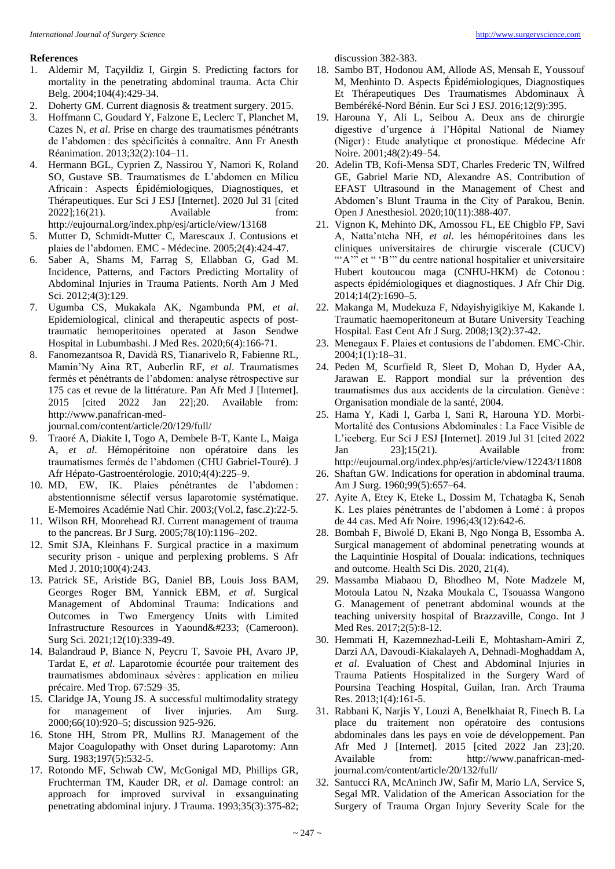## **References**

- 1. Aldemir M, Taçyildiz I, Girgin S. Predicting factors for mortality in the penetrating abdominal trauma. Acta Chir Belg. 2004;104(4):429-34.
- 2. Doherty GM. Current diagnosis & treatment surgery. 2015.
- 3. Hoffmann C, Goudard Y, Falzone E, Leclerc T, Planchet M, Cazes N, *et al*. Prise en charge des traumatismes pénétrants de l'abdomen : des spécificités à connaître. Ann Fr Anesth Réanimation. 2013;32(2):104–11.
- 4. Hermann BGL, Cyprien Z, Nassirou Y, Namori K, Roland SO, Gustave SB. Traumatismes de L'abdomen en Milieu Africain : Aspects Épidémiologiques, Diagnostiques, et Thérapeutiques. Eur Sci J ESJ [Internet]. 2020 Jul 31 [cited 2022];16(21). Available from: http://eujournal.org/index.php/esj/article/view/13168
- 5. Mutter D, Schmidt-Mutter C, Marescaux J. Contusions et plaies de l'abdomen. EMC - Médecine. 2005;2(4):424-47.
- 6. Saber A, Shams M, Farrag S, Ellabban G, Gad M. Incidence, Patterns, and Factors Predicting Mortality of Abdominal Injuries in Trauma Patients. North Am J Med Sci. 2012;4(3):129.
- 7. Ugumba CS, Mukakala AK, Ngambunda PM, *et al*. Epidemiological, clinical and therapeutic aspects of posttraumatic hemoperitoines operated at Jason Sendwe Hospital in Lubumbashi. J Med Res. 2020;6(4):166-71.
- 8. Fanomezantsoa R, Davidà RS, Tianarivelo R, Fabienne RL, Mamin'Ny Aina RT, Auberlin RF, *et al*. Traumatismes fermés et pénétrants de l'abdomen: analyse rétrospective sur 175 cas et revue de la littérature. Pan Afr Med J [Internet]. 2015 [cited 2022 Jan 22];20. Available from: http://www.panafrican-med-

journal.com/content/article/20/129/full/

- 9. Traoré A, Diakite I, Togo A, Dembele B-T, Kante L, Maiga A, *et al*. Hémopéritoine non opératoire dans les traumatismes fermés de l'abdomen (CHU Gabriel-Touré). J Afr Hépato-Gastroentérologie. 2010;4(4):225–9.
- 10. MD, EW, IK. Plaies pénétrantes de l'abdomen : abstentionnisme sélectif versus laparotomie systématique. E-Memoires Académie Natl Chir. 2003;(Vol.2, fasc.2):22-5.
- 11. Wilson RH, Moorehead RJ. Current management of trauma to the pancreas. Br J Surg. 2005;78(10):1196–202.
- 12. Smit SJA, Kleinhans F. Surgical practice in a maximum security prison - unique and perplexing problems. S Afr Med J. 2010;100(4):243.
- 13. Patrick SE, Aristide BG, Daniel BB, Louis Joss BAM, Georges Roger BM, Yannick EBM, *et al*. Surgical Management of Abdominal Trauma: Indications and Outcomes in Two Emergency Units with Limited Infrastructure Resources in Yaoundé (Cameroon). Surg Sci. 2021;12(10):339-49.
- 14. Balandraud P, Biance N, Peycru T, Savoie PH, Avaro JP, Tardat E, *et al*. Laparotomie écourtée pour traitement des traumatismes abdominaux sévères : application en milieu précaire. Med Trop. 67:529–35.
- 15. Claridge JA, Young JS. A successful multimodality strategy for management of liver injuries. Am Surg. 2000;66(10):920–5; discussion 925-926.
- 16. Stone HH, Strom PR, Mullins RJ. Management of the Major Coagulopathy with Onset during Laparotomy: Ann Surg. 1983;197(5):532-5.
- 17. Rotondo MF, Schwab CW, McGonigal MD, Phillips GR, Fruchterman TM, Kauder DR, *et al*. Damage control: an approach for improved survival in exsanguinating penetrating abdominal injury. J Trauma. 1993;35(3):375-82;

discussion 382-383.

- 18. Sambo BT, Hodonou AM, Allode AS, Mensah E, Youssouf M, Menhinto D. Aspects Épidémiologiques, Diagnostiques Et Thérapeutiques Des Traumatismes Abdominaux À Bembéréké-Nord Bénin. Eur Sci J ESJ. 2016;12(9):395.
- 19. Harouna Y, Ali L, Seibou A. Deux ans de chirurgie digestive d'urgence à l'Hôpital National de Niamey (Niger) : Etude analytique et pronostique. Médecine Afr Noire. 2001;48(2):49–54.
- 20. Adelin TB, Kofi-Mensa SDT, Charles Frederic TN, Wilfred GE, Gabriel Marie ND, Alexandre AS. Contribution of EFAST Ultrasound in the Management of Chest and Abdomen's Blunt Trauma in the City of Parakou, Benin. Open J Anesthesiol. 2020;10(11):388-407.
- 21. Vignon K, Mehinto DK, Amossou FL, EE Chigblo FP, Savi A, Natta'ntcha NH, *et al*. les hémopéritoines dans les cliniques universitaires de chirurgie viscerale (CUCV) "'A" et " 'B'" du centre national hospitalier et universitaire Hubert koutoucou maga (CNHU-HKM) de Cotonou: aspects épidémiologiques et diagnostiques. J Afr Chir Dig. 2014;14(2):1690–5.
- 22. Makanga M, Mudekuza F, Ndayishyigikiye M, Kakande I. Traumatic haemoperitoneum at Butare University Teaching Hospital. East Cent Afr J Surg. 2008;13(2):37-42.
- 23. Menegaux F. Plaies et contusions de l'abdomen. EMC-Chir. 2004;1(1):18–31.
- 24. Peden M, Scurfield R, Sleet D, Mohan D, Hyder AA, Jarawan E. Rapport mondial sur la prévention des traumatismes dus aux accidents de la circulation. Genève : Organisation mondiale de la santé, 2004.
- 25. Hama Y, Kadi I, Garba I, Sani R, Harouna YD. Morbi-Mortalité des Contusions Abdominales : La Face Visible de L'iceberg. Eur Sci J ESJ [Internet]. 2019 Jul 31 [cited 2022 Jan 23];15(21). Available from: http://eujournal.org/index.php/esj/article/view/12243/11808
- 26. Shaftan GW. Indications for operation in abdominal trauma. Am J Surg. 1960;99(5):657–64.
- 27. Ayite A, Etey K, Eteke L, Dossim M, Tchatagba K, Senah K. Les plaies pénétrantes de l'abdomen à Lomé : à propos de 44 cas. Med Afr Noire. 1996;43(12):642-6.
- 28. Bombah F, Biwolé D, Ekani B, Ngo Nonga B, Essomba A. Surgical management of abdominal penetrating wounds at the Laquintinie Hospital of Douala: indications, techniques and outcome. Health Sci Dis. 2020, 21(4).
- 29. Massamba Miabaou D, Bhodheo M, Note Madzele M, Motoula Latou N, Nzaka Moukala C, Tsouassa Wangono G. Management of penetrant abdominal wounds at the teaching university hospital of Brazzaville, Congo. Int J Med Res. 2017;2(5):8-12.
- 30. Hemmati H, Kazemnezhad-Leili E, Mohtasham-Amiri Z, Darzi AA, Davoudi-Kiakalayeh A, Dehnadi-Moghaddam A, *et al*. Evaluation of Chest and Abdominal Injuries in Trauma Patients Hospitalized in the Surgery Ward of Poursina Teaching Hospital, Guilan, Iran. Arch Trauma Res. 2013;1(4):161-5.
- 31. Rabbani K, Narjis Y, Louzi A, Benelkhaiat R, Finech B. La place du traitement non opératoire des contusions abdominales dans les pays en voie de développement. Pan Afr Med J [Internet]. 2015 [cited 2022 Jan 23];20. Available from: http://www.panafrican-medjournal.com/content/article/20/132/full/
- 32. Santucci RA, McAninch JW, Safir M, Mario LA, Service S, Segal MR. Validation of the American Association for the Surgery of Trauma Organ Injury Severity Scale for the